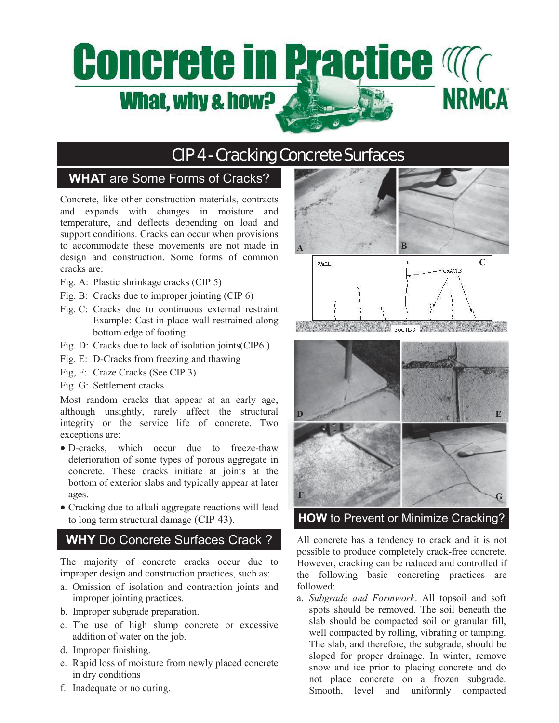# **Concrete in Practice Manufaction NRMCA** What, why & how?

# CIP 4 - Cracking Concrete Surfaces

## **WHAT** are Some Forms of Cracks?

Concrete, like other construction materials, contracts and expands with changes in moisture and temperature, and deflects depending on load and support conditions. Cracks can occur when provisions to accommodate these movements are not made in design and construction. Some forms of common cracks are:

- Fig. A: Plastic shrinkage cracks (CIP 5)
- Fig. B: Cracks due to improper jointing (CIP 6)
- Fig. C: Cracks due to continuous external restraint Example: Cast-in-place wall restrained along bottom edge of footing
- Fig. D: Cracks due to lack of isolation joints(CIP6 )
- Fig. E: D-Cracks from freezing and thawing
- Fig, F: Craze Cracks (See CIP 3)
- Fig. G: Settlement cracks

Most random cracks that appear at an early age, although unsightly, rarely affect the structural integrity or the service life of concrete. Two exceptions are:

- xD-cracks, which occur due to freeze-thaw deterioration of some types of porous aggregate in concrete. These cracks initiate at joints at the bottom of exterior slabs and typically appear at later ages.
- Cracking due to alkali aggregate reactions will lead to long term structural damage (CIP 43).

### **WHY** Do Concrete Surfaces Crack ?

The majority of concrete cracks occur due to improper design and construction practices, such as:

- a. Omission of isolation and contraction joints and improper jointing practices.
- b. Improper subgrade preparation.
- c. The use of high slump concrete or excessive addition of water on the job.
- d. Improper finishing.
- e. Rapid loss of moisture from newly placed concrete in dry conditions
- f. Inadequate or no curing.



FOOTING



**HOW** to Prevent or Minimize Cracking?

All concrete has a tendency to crack and it is not possible to produce completely crack-free concrete. However, cracking can be reduced and controlled if the following basic concreting practices are followed:

a. *Subgrade and Formwork*. All topsoil and soft spots should be removed. The soil beneath the slab should be compacted soil or granular fill, well compacted by rolling, vibrating or tamping. The slab, and therefore, the subgrade, should be sloped for proper drainage. In winter, remove snow and ice prior to placing concrete and do not place concrete on a frozen subgrade. Smooth, level and uniformly compacted